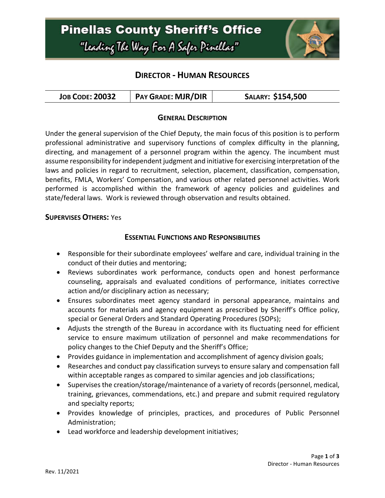## **Pinellas County Sheriff's Office** "Leading The Way For A Safer Pinellar"



## **DIRECTOR - HUMAN RESOURCES**

| <b>PAY GRADE: MJR/DIR</b><br><b>JOB CODE: 20032</b> | SALARY: \$154,500 |
|-----------------------------------------------------|-------------------|
|-----------------------------------------------------|-------------------|

#### **GENERAL DESCRIPTION**

Under the general supervision of the Chief Deputy, the main focus of this position is to perform professional administrative and supervisory functions of complex difficulty in the planning, directing, and management of a personnel program within the agency. The incumbent must assume responsibility for independent judgment and initiative for exercising interpretation of the laws and policies in regard to recruitment, selection, placement, classification, compensation, benefits, FMLA, Workers' Compensation, and various other related personnel activities. Work performed is accomplished within the framework of agency policies and guidelines and state/federal laws. Work is reviewed through observation and results obtained.

#### **SUPERVISES OTHERS:** Yes

#### **ESSENTIAL FUNCTIONS AND RESPONSIBILITIES**

- Responsible for their subordinate employees' welfare and care, individual training in the conduct of their duties and mentoring;
- Reviews subordinates work performance, conducts open and honest performance counseling, appraisals and evaluated conditions of performance, initiates corrective action and/or disciplinary action as necessary;
- Ensures subordinates meet agency standard in personal appearance, maintains and accounts for materials and agency equipment as prescribed by Sheriff's Office policy, special or General Orders and Standard Operating Procedures (SOPs);
- Adjusts the strength of the Bureau in accordance with its fluctuating need for efficient service to ensure maximum utilization of personnel and make recommendations for policy changes to the Chief Deputy and the Sheriff's Office;
- Provides guidance in implementation and accomplishment of agency division goals;
- Researches and conduct pay classification surveys to ensure salary and compensation fall within acceptable ranges as compared to similar agencies and job classifications;
- Supervises the creation/storage/maintenance of a variety of records (personnel, medical, training, grievances, commendations, etc.) and prepare and submit required regulatory and specialty reports;
- Provides knowledge of principles, practices, and procedures of Public Personnel Administration;
- Lead workforce and leadership development initiatives;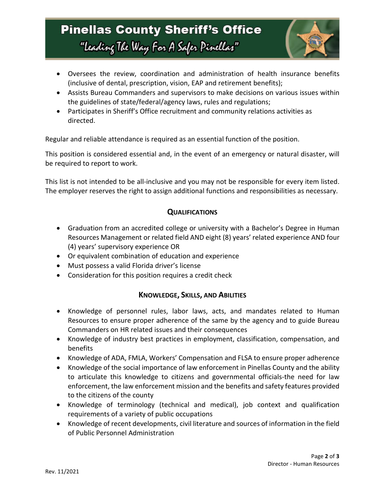# **Pinellas County Sheriff's Office** "Leading The Way For A Safer Pinellar"



- Oversees the review, coordination and administration of health insurance benefits (inclusive of dental, prescription, vision, EAP and retirement benefits);
- Assists Bureau Commanders and supervisors to make decisions on various issues within the guidelines of state/federal/agency laws, rules and regulations;
- Participates in Sheriff's Office recruitment and community relations activities as directed.

Regular and reliable attendance is required as an essential function of the position.

This position is considered essential and, in the event of an emergency or natural disaster, will be required to report to work.

This list is not intended to be all-inclusive and you may not be responsible for every item listed. The employer reserves the right to assign additional functions and responsibilities as necessary.

### **QUALIFICATIONS**

- Graduation from an accredited college or university with a Bachelor's Degree in Human Resources Management or related field AND eight (8) years' related experience AND four (4) years' supervisory experience OR
- Or equivalent combination of education and experience
- Must possess a valid Florida driver's license
- Consideration for this position requires a credit check

### **KNOWLEDGE, SKILLS, AND ABILITIES**

- Knowledge of personnel rules, labor laws, acts, and mandates related to Human Resources to ensure proper adherence of the same by the agency and to guide Bureau Commanders on HR related issues and their consequences
- Knowledge of industry best practices in employment, classification, compensation, and benefits
- Knowledge of ADA, FMLA, Workers' Compensation and FLSA to ensure proper adherence
- Knowledge of the social importance of law enforcement in Pinellas County and the ability to articulate this knowledge to citizens and governmental officials-the need for law enforcement, the law enforcement mission and the benefits and safety features provided to the citizens of the county
- Knowledge of terminology (technical and medical), job context and qualification requirements of a variety of public occupations
- Knowledge of recent developments, civil literature and sources of information in the field of Public Personnel Administration